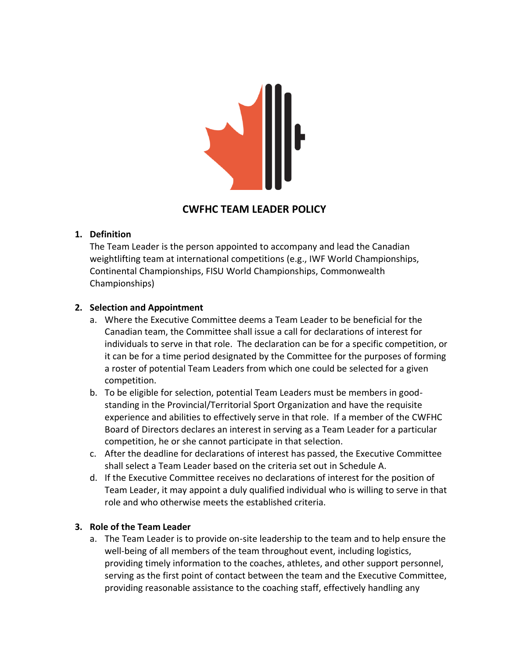

# **CWFHC TEAM LEADER POLICY**

#### **1. Definition**

The Team Leader is the person appointed to accompany and lead the Canadian weightlifting team at international competitions (e.g., IWF World Championships, Continental Championships, FISU World Championships, Commonwealth Championships)

## **2. Selection and Appointment**

- a. Where the Executive Committee deems a Team Leader to be beneficial for the Canadian team, the Committee shall issue a call for declarations of interest for individuals to serve in that role. The declaration can be for a specific competition, or it can be for a time period designated by the Committee for the purposes of forming a roster of potential Team Leaders from which one could be selected for a given competition.
- b. To be eligible for selection, potential Team Leaders must be members in goodstanding in the Provincial/Territorial Sport Organization and have the requisite experience and abilities to effectively serve in that role. If a member of the CWFHC Board of Directors declares an interest in serving as a Team Leader for a particular competition, he or she cannot participate in that selection.
- c. After the deadline for declarations of interest has passed, the Executive Committee shall select a Team Leader based on the criteria set out in Schedule A.
- d. If the Executive Committee receives no declarations of interest for the position of Team Leader, it may appoint a duly qualified individual who is willing to serve in that role and who otherwise meets the established criteria.

## **3. Role of the Team Leader**

a. The Team Leader is to provide on-site leadership to the team and to help ensure the well-being of all members of the team throughout event, including logistics, providing timely information to the coaches, athletes, and other support personnel, serving as the first point of contact between the team and the Executive Committee, providing reasonable assistance to the coaching staff, effectively handling any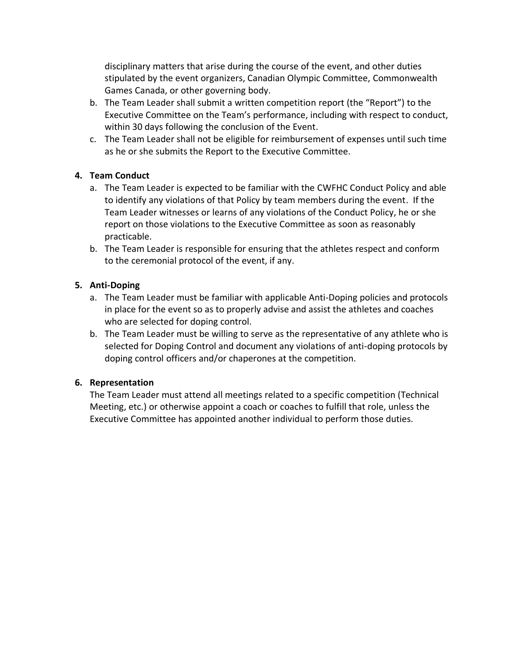disciplinary matters that arise during the course of the event, and other duties stipulated by the event organizers, Canadian Olympic Committee, Commonwealth Games Canada, or other governing body.

- b. The Team Leader shall submit a written competition report (the "Report") to the Executive Committee on the Team's performance, including with respect to conduct, within 30 days following the conclusion of the Event.
- c. The Team Leader shall not be eligible for reimbursement of expenses until such time as he or she submits the Report to the Executive Committee.

## **4. Team Conduct**

- a. The Team Leader is expected to be familiar with the CWFHC Conduct Policy and able to identify any violations of that Policy by team members during the event. If the Team Leader witnesses or learns of any violations of the Conduct Policy, he or she report on those violations to the Executive Committee as soon as reasonably practicable.
- b. The Team Leader is responsible for ensuring that the athletes respect and conform to the ceremonial protocol of the event, if any.

## **5. Anti-Doping**

- a. The Team Leader must be familiar with applicable Anti-Doping policies and protocols in place for the event so as to properly advise and assist the athletes and coaches who are selected for doping control.
- b. The Team Leader must be willing to serve as the representative of any athlete who is selected for Doping Control and document any violations of anti-doping protocols by doping control officers and/or chaperones at the competition.

## **6. Representation**

The Team Leader must attend all meetings related to a specific competition (Technical Meeting, etc.) or otherwise appoint a coach or coaches to fulfill that role, unless the Executive Committee has appointed another individual to perform those duties.